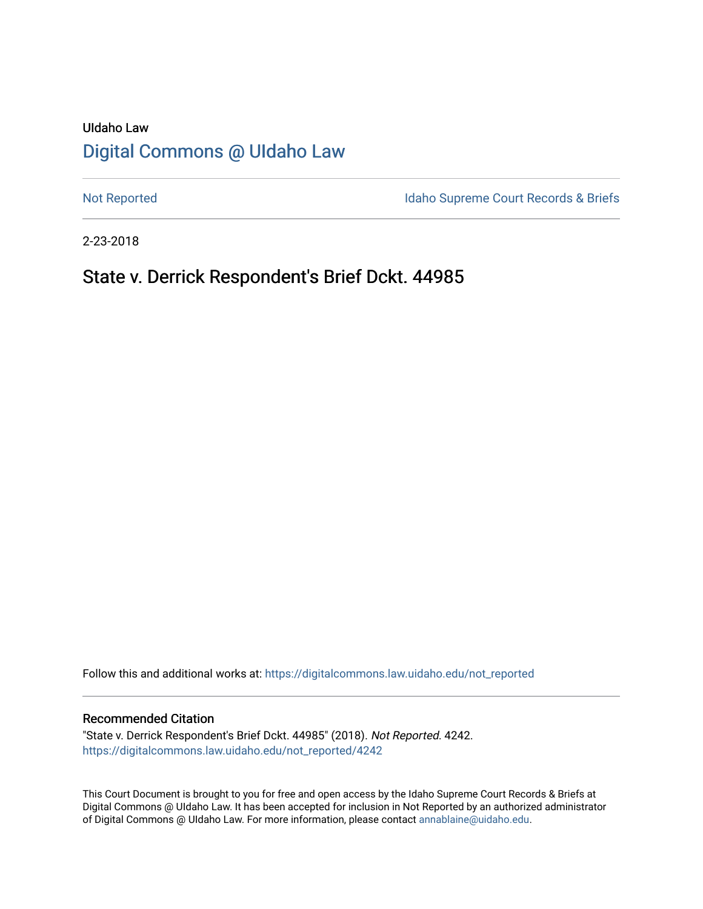# UIdaho Law [Digital Commons @ UIdaho Law](https://digitalcommons.law.uidaho.edu/)

[Not Reported](https://digitalcommons.law.uidaho.edu/not_reported) **Idaho Supreme Court Records & Briefs** 

2-23-2018

# State v. Derrick Respondent's Brief Dckt. 44985

Follow this and additional works at: [https://digitalcommons.law.uidaho.edu/not\\_reported](https://digitalcommons.law.uidaho.edu/not_reported?utm_source=digitalcommons.law.uidaho.edu%2Fnot_reported%2F4242&utm_medium=PDF&utm_campaign=PDFCoverPages) 

### Recommended Citation

"State v. Derrick Respondent's Brief Dckt. 44985" (2018). Not Reported. 4242. [https://digitalcommons.law.uidaho.edu/not\\_reported/4242](https://digitalcommons.law.uidaho.edu/not_reported/4242?utm_source=digitalcommons.law.uidaho.edu%2Fnot_reported%2F4242&utm_medium=PDF&utm_campaign=PDFCoverPages)

This Court Document is brought to you for free and open access by the Idaho Supreme Court Records & Briefs at Digital Commons @ UIdaho Law. It has been accepted for inclusion in Not Reported by an authorized administrator of Digital Commons @ UIdaho Law. For more information, please contact [annablaine@uidaho.edu](mailto:annablaine@uidaho.edu).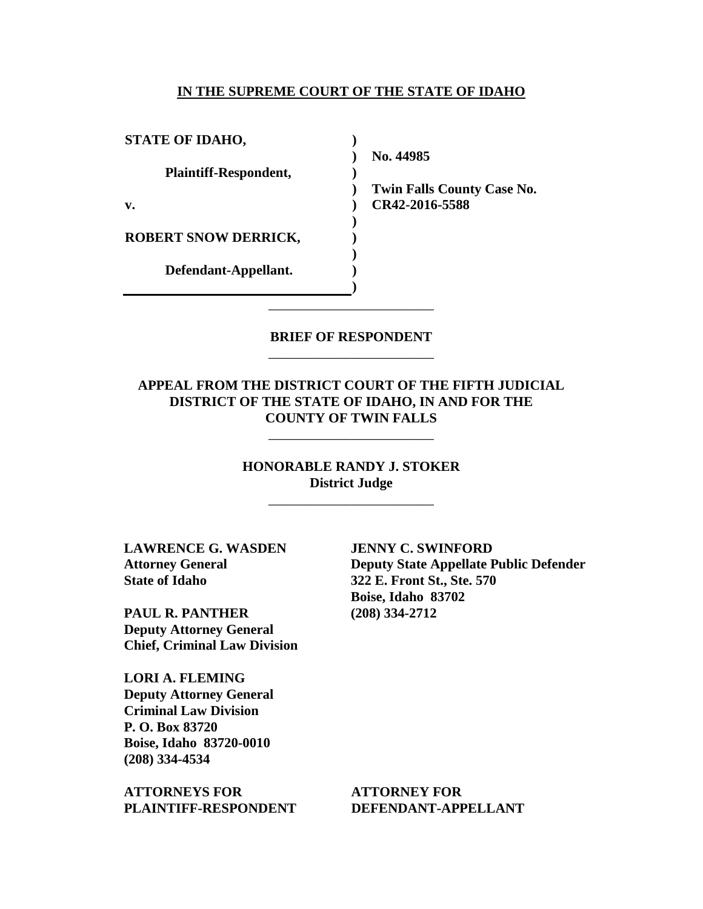### **IN THE SUPREME COURT OF THE STATE OF IDAHO**

| <b>STATE OF IDAHO,</b>       |  |
|------------------------------|--|
|                              |  |
| <b>Plaintiff-Respondent,</b> |  |
|                              |  |
| v.                           |  |
|                              |  |
| <b>ROBERT SNOW DERRICK,</b>  |  |
|                              |  |
| Defendant-Appellant.         |  |
|                              |  |

**No. 44985** 

**Twin Falls County Case No. CR42-2016-5588** 

### **BRIEF OF RESPONDENT** \_\_\_\_\_\_\_\_\_\_\_\_\_\_\_\_\_\_\_\_\_\_\_\_

\_\_\_\_\_\_\_\_\_\_\_\_\_\_\_\_\_\_\_\_\_\_\_\_

## **APPEAL FROM THE DISTRICT COURT OF THE FIFTH JUDICIAL DISTRICT OF THE STATE OF IDAHO, IN AND FOR THE COUNTY OF TWIN FALLS**

\_\_\_\_\_\_\_\_\_\_\_\_\_\_\_\_\_\_\_\_\_\_\_\_

## **HONORABLE RANDY J. STOKER District Judge**

\_\_\_\_\_\_\_\_\_\_\_\_\_\_\_\_\_\_\_\_\_\_\_\_

**LAWRENCE G. WASDEN Attorney General State of Idaho**

**PAUL R. PANTHER Deputy Attorney General Chief, Criminal Law Division**

**LORI A. FLEMING Deputy Attorney General Criminal Law Division P. O. Box 83720 Boise, Idaho 83720-0010 (208) 334-4534** 

**ATTORNEYS FOR PLAINTIFF-RESPONDENT** **JENNY C. SWINFORD Deputy State Appellate Public Defender 322 E. Front St., Ste. 570 Boise, Idaho 83702 (208) 334-2712** 

**ATTORNEY FOR DEFENDANT-APPELLANT**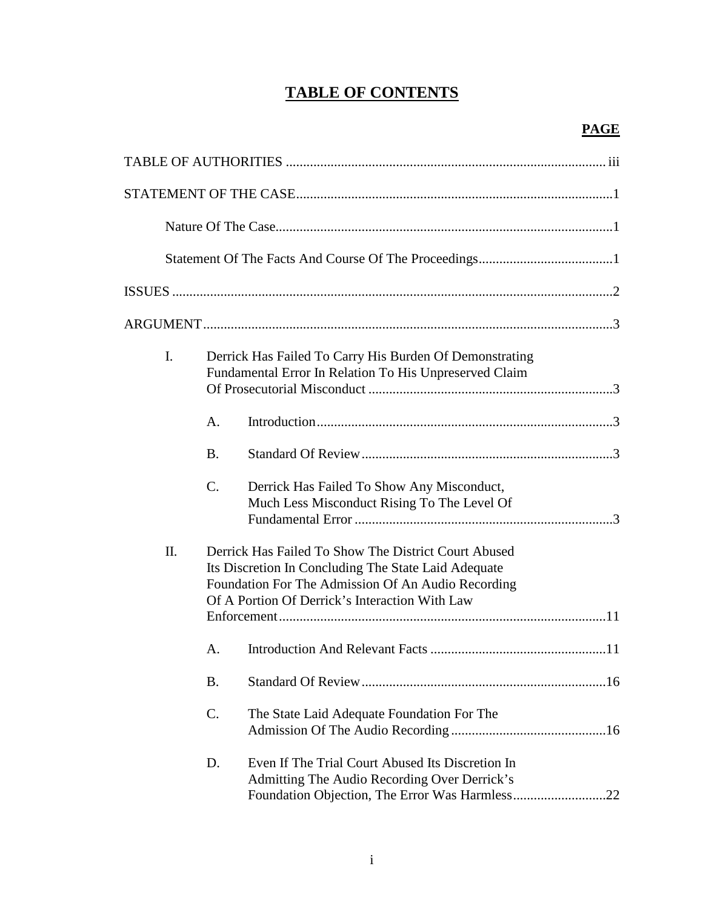# **TABLE OF CONTENTS**

| $\mathbf{I}$ . |           | Derrick Has Failed To Carry His Burden Of Demonstrating<br>Fundamental Error In Relation To His Unpreserved Claim                                                                                                    |
|----------------|-----------|----------------------------------------------------------------------------------------------------------------------------------------------------------------------------------------------------------------------|
|                | A.        |                                                                                                                                                                                                                      |
|                | <b>B.</b> |                                                                                                                                                                                                                      |
|                | C.        | Derrick Has Failed To Show Any Misconduct,<br>Much Less Misconduct Rising To The Level Of                                                                                                                            |
| Π.             |           | Derrick Has Failed To Show The District Court Abused<br>Its Discretion In Concluding The State Laid Adequate<br>Foundation For The Admission Of An Audio Recording<br>Of A Portion Of Derrick's Interaction With Law |
|                | A.        |                                                                                                                                                                                                                      |
|                | <b>B.</b> |                                                                                                                                                                                                                      |
|                | C.        | The State Laid Adequate Foundation For The                                                                                                                                                                           |
|                | D.        | Even If The Trial Court Abused Its Discretion In<br>Admitting The Audio Recording Over Derrick's<br>.22                                                                                                              |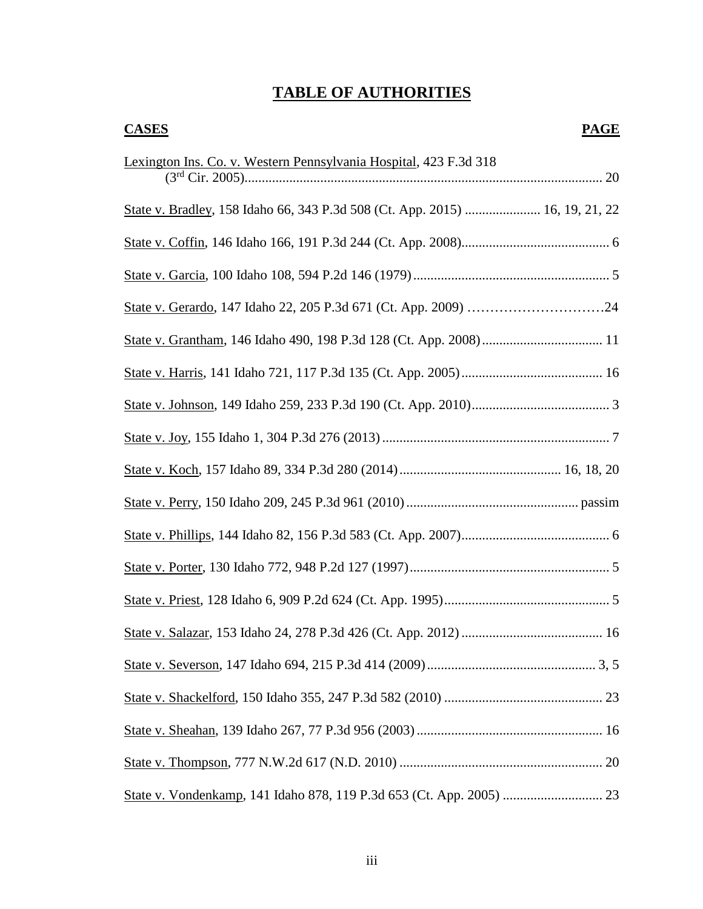# **TABLE OF AUTHORITIES**

| <b>CASES</b><br><b>PAGE</b>                                                  |  |
|------------------------------------------------------------------------------|--|
| Lexington Ins. Co. v. Western Pennsylvania Hospital, 423 F.3d 318            |  |
| State v. Bradley, 158 Idaho 66, 343 P.3d 508 (Ct. App. 2015)  16, 19, 21, 22 |  |
|                                                                              |  |
|                                                                              |  |
|                                                                              |  |
|                                                                              |  |
|                                                                              |  |
|                                                                              |  |
|                                                                              |  |
|                                                                              |  |
|                                                                              |  |
|                                                                              |  |
|                                                                              |  |
|                                                                              |  |
|                                                                              |  |
|                                                                              |  |
|                                                                              |  |
|                                                                              |  |
|                                                                              |  |
|                                                                              |  |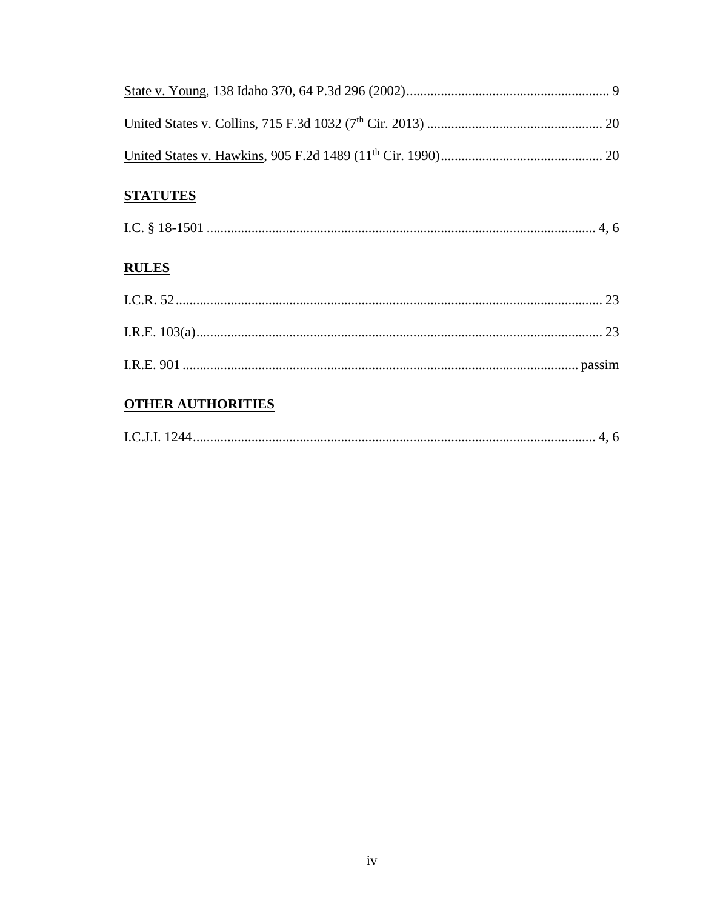## **STATUTES**

## **RULES**

## **OTHER AUTHORITIES**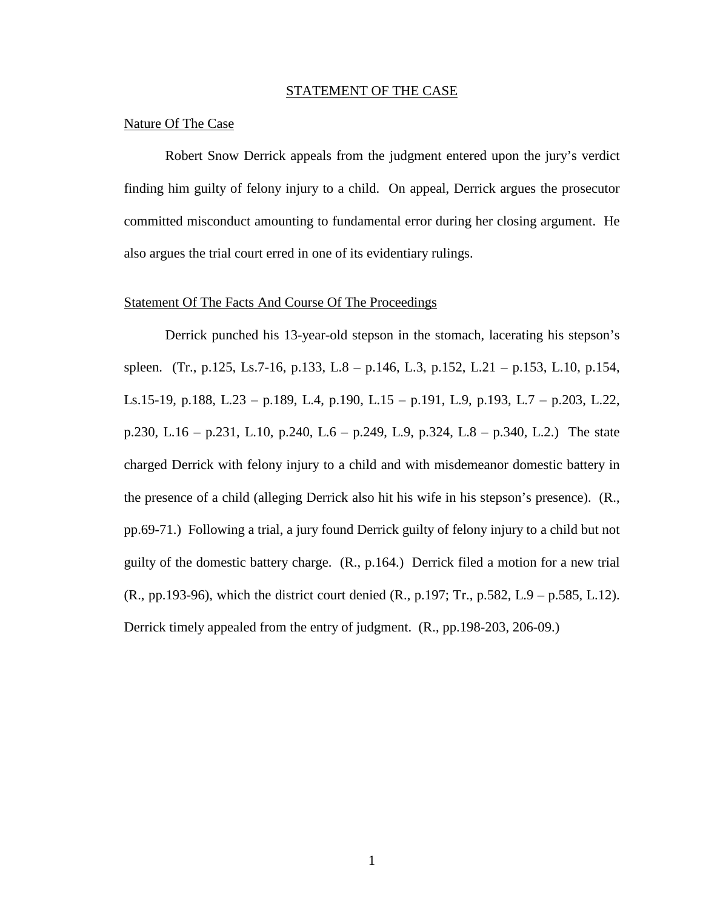#### STATEMENT OF THE CASE

#### Nature Of The Case

Robert Snow Derrick appeals from the judgment entered upon the jury's verdict finding him guilty of felony injury to a child. On appeal, Derrick argues the prosecutor committed misconduct amounting to fundamental error during her closing argument. He also argues the trial court erred in one of its evidentiary rulings.

### Statement Of The Facts And Course Of The Proceedings

Derrick punched his 13-year-old stepson in the stomach, lacerating his stepson's spleen. (Tr., p.125, Ls.7-16, p.133, L.8 – p.146, L.3, p.152, L.21 – p.153, L.10, p.154, Ls.15-19, p.188, L.23 – p.189, L.4, p.190, L.15 – p.191, L.9, p.193, L.7 – p.203, L.22, p.230, L.16 – p.231, L.10, p.240, L.6 – p.249, L.9, p.324, L.8 – p.340, L.2.) The state charged Derrick with felony injury to a child and with misdemeanor domestic battery in the presence of a child (alleging Derrick also hit his wife in his stepson's presence). (R., pp.69-71.) Following a trial, a jury found Derrick guilty of felony injury to a child but not guilty of the domestic battery charge. (R., p.164.) Derrick filed a motion for a new trial (R., pp.193-96), which the district court denied (R., p.197; Tr., p.582, L.9 – p.585, L.12). Derrick timely appealed from the entry of judgment. (R., pp.198-203, 206-09.)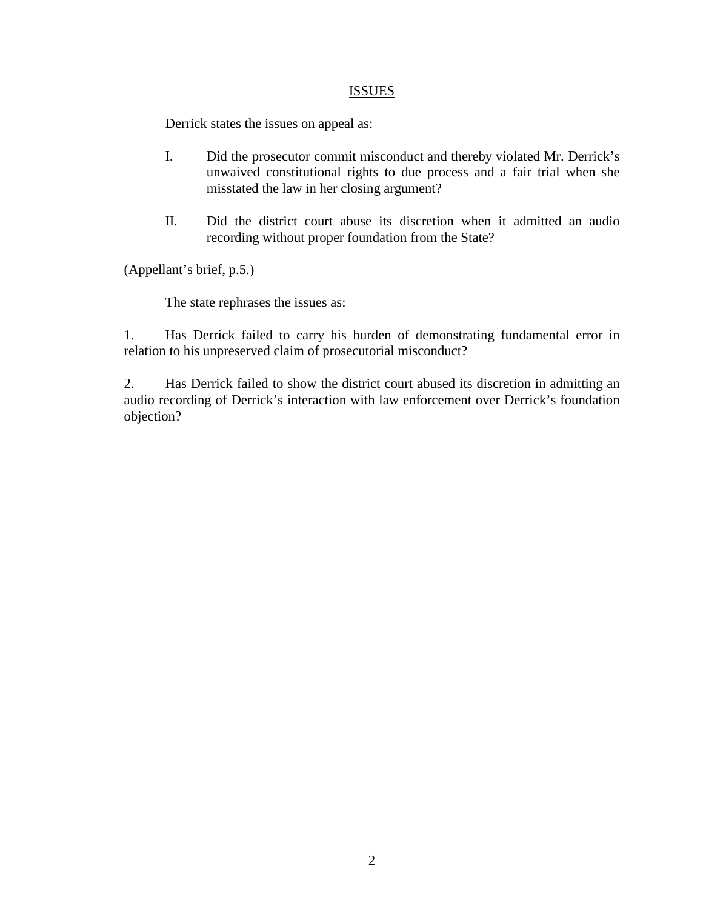## **ISSUES**

Derrick states the issues on appeal as:

- I. Did the prosecutor commit misconduct and thereby violated Mr. Derrick's unwaived constitutional rights to due process and a fair trial when she misstated the law in her closing argument?
- II. Did the district court abuse its discretion when it admitted an audio recording without proper foundation from the State?

(Appellant's brief, p.5.)

The state rephrases the issues as:

1. Has Derrick failed to carry his burden of demonstrating fundamental error in relation to his unpreserved claim of prosecutorial misconduct?

2. Has Derrick failed to show the district court abused its discretion in admitting an audio recording of Derrick's interaction with law enforcement over Derrick's foundation objection?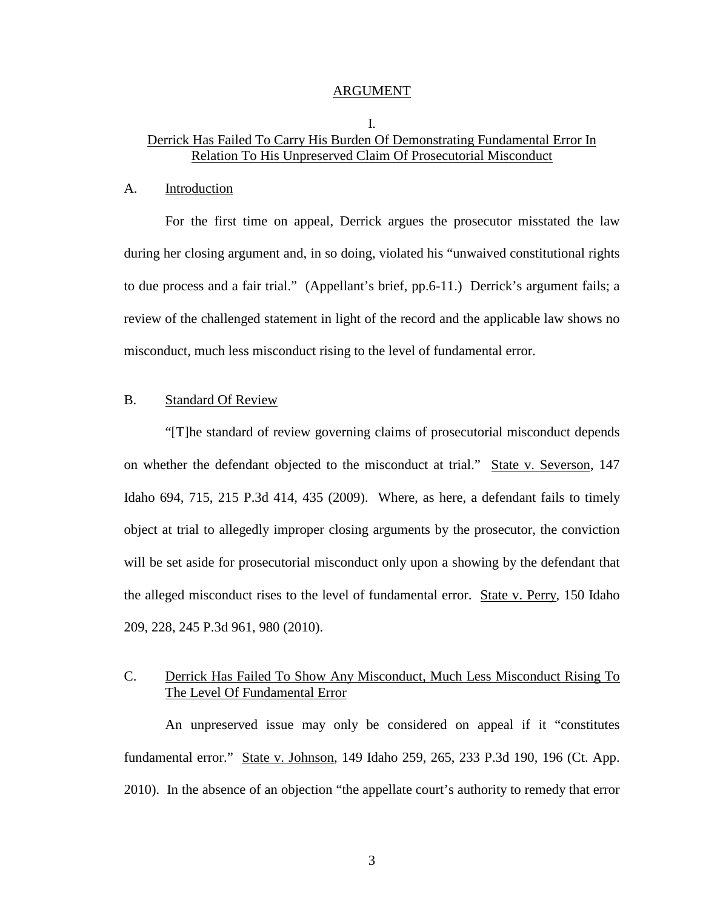#### ARGUMENT

### I. Derrick Has Failed To Carry His Burden Of Demonstrating Fundamental Error In Relation To His Unpreserved Claim Of Prosecutorial Misconduct

#### A. Introduction

For the first time on appeal, Derrick argues the prosecutor misstated the law during her closing argument and, in so doing, violated his "unwaived constitutional rights to due process and a fair trial." (Appellant's brief, pp.6-11.) Derrick's argument fails; a review of the challenged statement in light of the record and the applicable law shows no misconduct, much less misconduct rising to the level of fundamental error.

## B. Standard Of Review

"[T]he standard of review governing claims of prosecutorial misconduct depends on whether the defendant objected to the misconduct at trial." State v. Severson, 147 Idaho 694, 715, 215 P.3d 414, 435 (2009). Where, as here, a defendant fails to timely object at trial to allegedly improper closing arguments by the prosecutor, the conviction will be set aside for prosecutorial misconduct only upon a showing by the defendant that the alleged misconduct rises to the level of fundamental error. State v. Perry, 150 Idaho 209, 228, 245 P.3d 961, 980 (2010).

## C. Derrick Has Failed To Show Any Misconduct, Much Less Misconduct Rising To The Level Of Fundamental Error

An unpreserved issue may only be considered on appeal if it "constitutes fundamental error." State v. Johnson, 149 Idaho 259, 265, 233 P.3d 190, 196 (Ct. App. 2010). In the absence of an objection "the appellate court's authority to remedy that error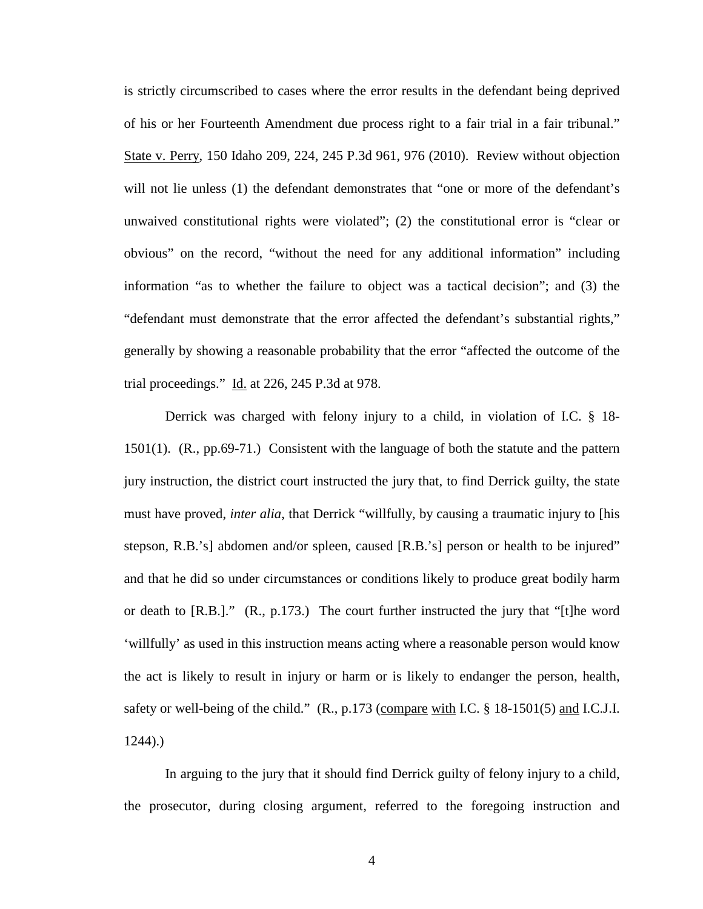is strictly circumscribed to cases where the error results in the defendant being deprived of his or her Fourteenth Amendment due process right to a fair trial in a fair tribunal." State v. Perry, 150 Idaho 209, 224, 245 P.3d 961, 976 (2010). Review without objection will not lie unless (1) the defendant demonstrates that "one or more of the defendant's unwaived constitutional rights were violated"; (2) the constitutional error is "clear or obvious" on the record, "without the need for any additional information" including information "as to whether the failure to object was a tactical decision"; and (3) the "defendant must demonstrate that the error affected the defendant's substantial rights," generally by showing a reasonable probability that the error "affected the outcome of the trial proceedings."  $\underline{Id}$ . at 226, 245 P.3d at 978.

Derrick was charged with felony injury to a child, in violation of I.C. § 18- 1501(1). (R., pp.69-71.) Consistent with the language of both the statute and the pattern jury instruction, the district court instructed the jury that, to find Derrick guilty, the state must have proved, *inter alia*, that Derrick "willfully, by causing a traumatic injury to [his stepson, R.B.'s] abdomen and/or spleen, caused [R.B.'s] person or health to be injured" and that he did so under circumstances or conditions likely to produce great bodily harm or death to  $[R.B.].$ "  $(R., p.173.)$  The court further instructed the jury that "[t]he word 'willfully' as used in this instruction means acting where a reasonable person would know the act is likely to result in injury or harm or is likely to endanger the person, health, safety or well-being of the child." (R., p.173 (compare with I.C. § 18-1501(5) and I.C.J.I. 1244).)

In arguing to the jury that it should find Derrick guilty of felony injury to a child, the prosecutor, during closing argument, referred to the foregoing instruction and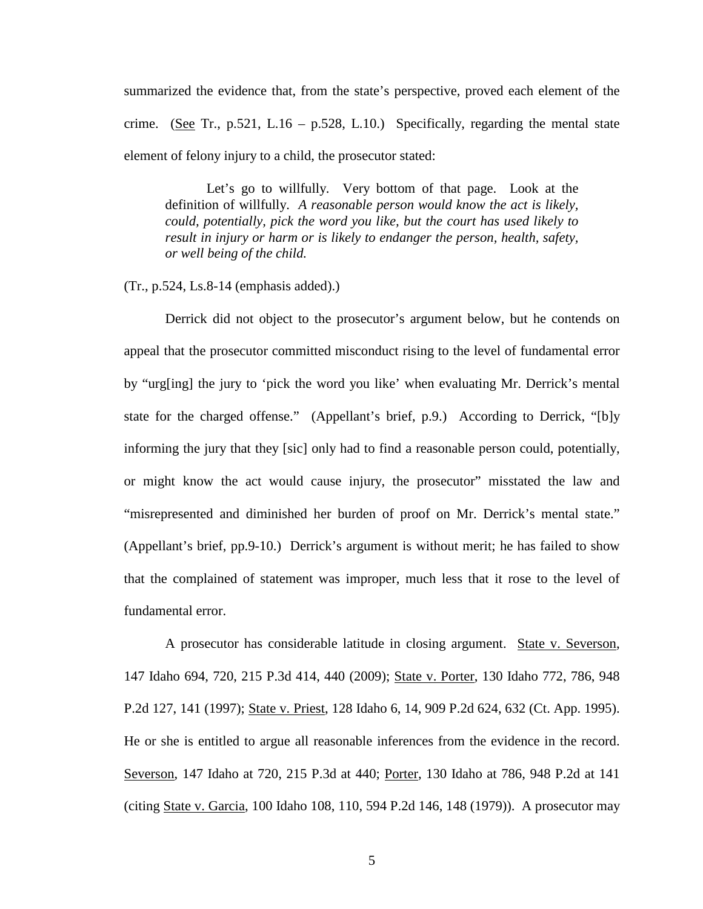summarized the evidence that, from the state's perspective, proved each element of the crime. (See Tr., p.521, L.16 – p.528, L.10.) Specifically, regarding the mental state element of felony injury to a child, the prosecutor stated:

Let's go to willfully. Very bottom of that page. Look at the definition of willfully. *A reasonable person would know the act is likely, could, potentially, pick the word you like, but the court has used likely to result in injury or harm or is likely to endanger the person, health, safety, or well being of the child.* 

(Tr., p.524, Ls.8-14 (emphasis added).)

Derrick did not object to the prosecutor's argument below, but he contends on appeal that the prosecutor committed misconduct rising to the level of fundamental error by "urg[ing] the jury to 'pick the word you like' when evaluating Mr. Derrick's mental state for the charged offense." (Appellant's brief, p.9.) According to Derrick, "[b]y informing the jury that they [sic] only had to find a reasonable person could, potentially, or might know the act would cause injury, the prosecutor" misstated the law and "misrepresented and diminished her burden of proof on Mr. Derrick's mental state." (Appellant's brief, pp.9-10.) Derrick's argument is without merit; he has failed to show that the complained of statement was improper, much less that it rose to the level of fundamental error.

A prosecutor has considerable latitude in closing argument. State v. Severson, 147 Idaho 694, 720, 215 P.3d 414, 440 (2009); State v. Porter, 130 Idaho 772, 786, 948 P.2d 127, 141 (1997); State v. Priest, 128 Idaho 6, 14, 909 P.2d 624, 632 (Ct. App. 1995). He or she is entitled to argue all reasonable inferences from the evidence in the record. Severson, 147 Idaho at 720, 215 P.3d at 440; Porter, 130 Idaho at 786, 948 P.2d at 141 (citing State v. Garcia, 100 Idaho 108, 110, 594 P.2d 146, 148 (1979)). A prosecutor may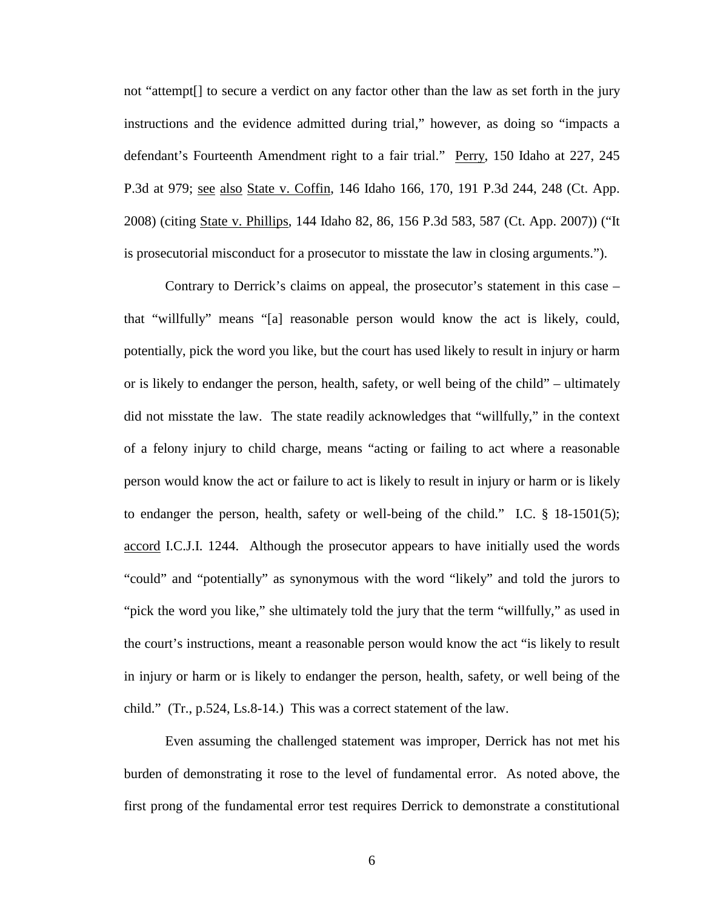not "attempt[] to secure a verdict on any factor other than the law as set forth in the jury instructions and the evidence admitted during trial," however, as doing so "impacts a defendant's Fourteenth Amendment right to a fair trial." Perry, 150 Idaho at 227, 245 P.3d at 979; see also State v. Coffin, 146 Idaho 166, 170, 191 P.3d 244, 248 (Ct. App. 2008) (citing State v. Phillips, 144 Idaho 82, 86, 156 P.3d 583, 587 (Ct. App. 2007)) ("It is prosecutorial misconduct for a prosecutor to misstate the law in closing arguments.").

Contrary to Derrick's claims on appeal, the prosecutor's statement in this case – that "willfully" means "[a] reasonable person would know the act is likely, could, potentially, pick the word you like, but the court has used likely to result in injury or harm or is likely to endanger the person, health, safety, or well being of the child" – ultimately did not misstate the law. The state readily acknowledges that "willfully," in the context of a felony injury to child charge, means "acting or failing to act where a reasonable person would know the act or failure to act is likely to result in injury or harm or is likely to endanger the person, health, safety or well-being of the child." I.C. § 18-1501(5); accord I.C.J.I. 1244. Although the prosecutor appears to have initially used the words "could" and "potentially" as synonymous with the word "likely" and told the jurors to "pick the word you like," she ultimately told the jury that the term "willfully," as used in the court's instructions, meant a reasonable person would know the act "is likely to result in injury or harm or is likely to endanger the person, health, safety, or well being of the child." (Tr., p.524, Ls.8-14.) This was a correct statement of the law.

Even assuming the challenged statement was improper, Derrick has not met his burden of demonstrating it rose to the level of fundamental error. As noted above, the first prong of the fundamental error test requires Derrick to demonstrate a constitutional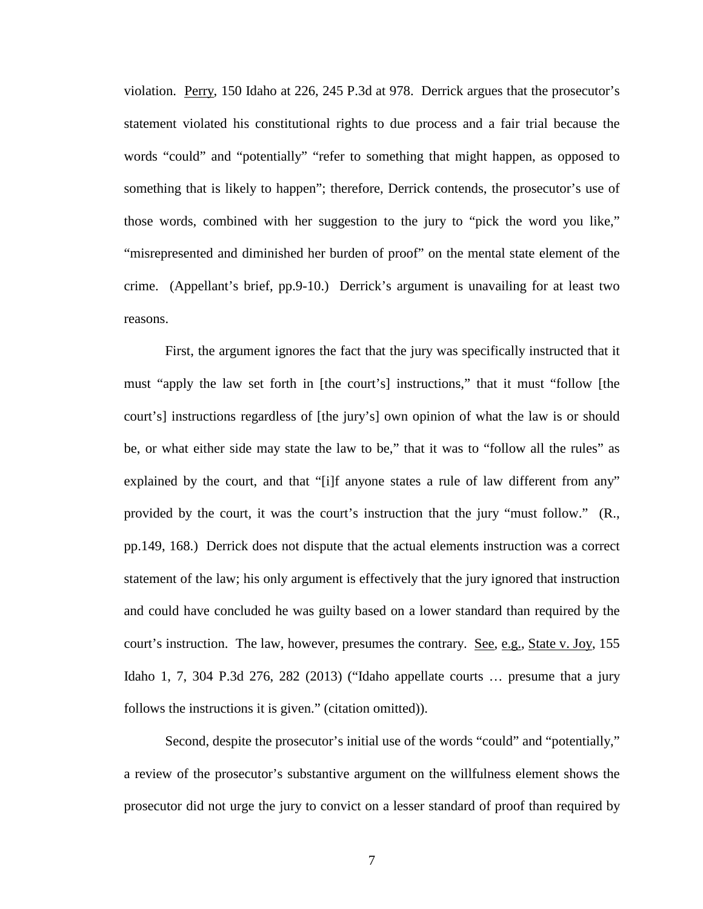violation. Perry, 150 Idaho at 226, 245 P.3d at 978. Derrick argues that the prosecutor's statement violated his constitutional rights to due process and a fair trial because the words "could" and "potentially" "refer to something that might happen, as opposed to something that is likely to happen"; therefore, Derrick contends, the prosecutor's use of those words, combined with her suggestion to the jury to "pick the word you like," "misrepresented and diminished her burden of proof" on the mental state element of the crime. (Appellant's brief, pp.9-10.) Derrick's argument is unavailing for at least two reasons.

First, the argument ignores the fact that the jury was specifically instructed that it must "apply the law set forth in [the court's] instructions," that it must "follow [the court's] instructions regardless of [the jury's] own opinion of what the law is or should be, or what either side may state the law to be," that it was to "follow all the rules" as explained by the court, and that "[i]f anyone states a rule of law different from any" provided by the court, it was the court's instruction that the jury "must follow." (R., pp.149, 168.) Derrick does not dispute that the actual elements instruction was a correct statement of the law; his only argument is effectively that the jury ignored that instruction and could have concluded he was guilty based on a lower standard than required by the court's instruction. The law, however, presumes the contrary. <u>See, e.g., State v. Joy</u>, 155 Idaho 1, 7, 304 P.3d 276, 282 (2013) ("Idaho appellate courts … presume that a jury follows the instructions it is given." (citation omitted)).

Second, despite the prosecutor's initial use of the words "could" and "potentially," a review of the prosecutor's substantive argument on the willfulness element shows the prosecutor did not urge the jury to convict on a lesser standard of proof than required by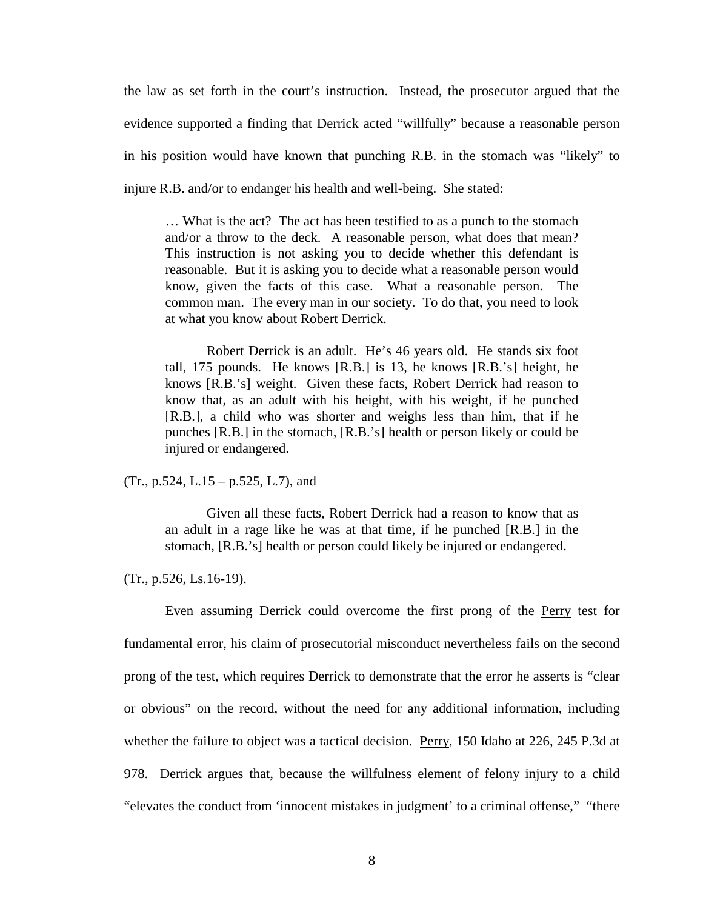the law as set forth in the court's instruction. Instead, the prosecutor argued that the evidence supported a finding that Derrick acted "willfully" because a reasonable person in his position would have known that punching R.B. in the stomach was "likely" to injure R.B. and/or to endanger his health and well-being. She stated:

… What is the act? The act has been testified to as a punch to the stomach and/or a throw to the deck. A reasonable person, what does that mean? This instruction is not asking you to decide whether this defendant is reasonable. But it is asking you to decide what a reasonable person would know, given the facts of this case. What a reasonable person. The common man. The every man in our society. To do that, you need to look at what you know about Robert Derrick.

Robert Derrick is an adult. He's 46 years old. He stands six foot tall, 175 pounds. He knows [R.B.] is 13, he knows [R.B.'s] height, he knows [R.B.'s] weight. Given these facts, Robert Derrick had reason to know that, as an adult with his height, with his weight, if he punched [R.B.], a child who was shorter and weighs less than him, that if he punches [R.B.] in the stomach, [R.B.'s] health or person likely or could be injured or endangered.

(Tr., p.524, L.15 – p.525, L.7), and

Given all these facts, Robert Derrick had a reason to know that as an adult in a rage like he was at that time, if he punched [R.B.] in the stomach, [R.B.'s] health or person could likely be injured or endangered.

(Tr., p.526, Ls.16-19).

Even assuming Derrick could overcome the first prong of the Perry test for fundamental error, his claim of prosecutorial misconduct nevertheless fails on the second prong of the test, which requires Derrick to demonstrate that the error he asserts is "clear or obvious" on the record, without the need for any additional information, including whether the failure to object was a tactical decision. Perry, 150 Idaho at 226, 245 P.3d at 978. Derrick argues that, because the willfulness element of felony injury to a child "elevates the conduct from 'innocent mistakes in judgment' to a criminal offense," "there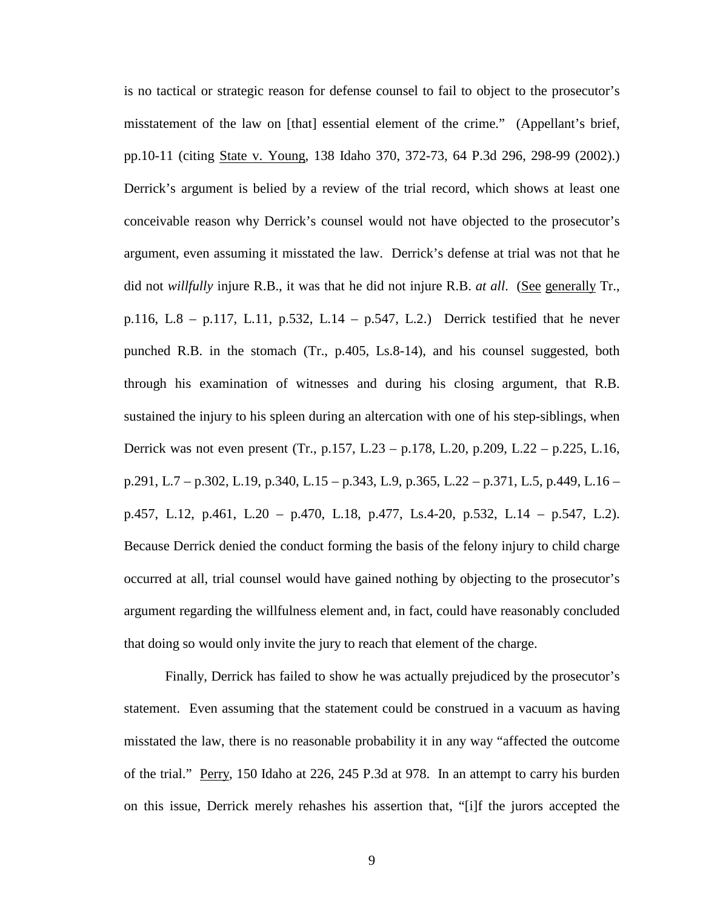is no tactical or strategic reason for defense counsel to fail to object to the prosecutor's misstatement of the law on [that] essential element of the crime." (Appellant's brief, pp.10-11 (citing State v. Young, 138 Idaho 370, 372-73, 64 P.3d 296, 298-99 (2002).) Derrick's argument is belied by a review of the trial record, which shows at least one conceivable reason why Derrick's counsel would not have objected to the prosecutor's argument, even assuming it misstated the law. Derrick's defense at trial was not that he did not *willfully* injure R.B., it was that he did not injure R.B. *at all*. (See generally Tr., p.116, L.8 – p.117, L.11, p.532, L.14 – p.547, L.2.) Derrick testified that he never punched R.B. in the stomach (Tr., p.405, Ls.8-14), and his counsel suggested, both through his examination of witnesses and during his closing argument, that R.B. sustained the injury to his spleen during an altercation with one of his step-siblings, when Derrick was not even present (Tr., p.157, L.23 – p.178, L.20, p.209, L.22 – p.225, L.16, p.291, L.7 – p.302, L.19, p.340, L.15 – p.343, L.9, p.365, L.22 – p.371, L.5, p.449, L.16 – p.457, L.12, p.461, L.20 – p.470, L.18, p.477, Ls.4-20, p.532, L.14 – p.547, L.2). Because Derrick denied the conduct forming the basis of the felony injury to child charge occurred at all, trial counsel would have gained nothing by objecting to the prosecutor's argument regarding the willfulness element and, in fact, could have reasonably concluded that doing so would only invite the jury to reach that element of the charge.

Finally, Derrick has failed to show he was actually prejudiced by the prosecutor's statement. Even assuming that the statement could be construed in a vacuum as having misstated the law, there is no reasonable probability it in any way "affected the outcome of the trial." Perry, 150 Idaho at 226, 245 P.3d at 978. In an attempt to carry his burden on this issue, Derrick merely rehashes his assertion that, "[i]f the jurors accepted the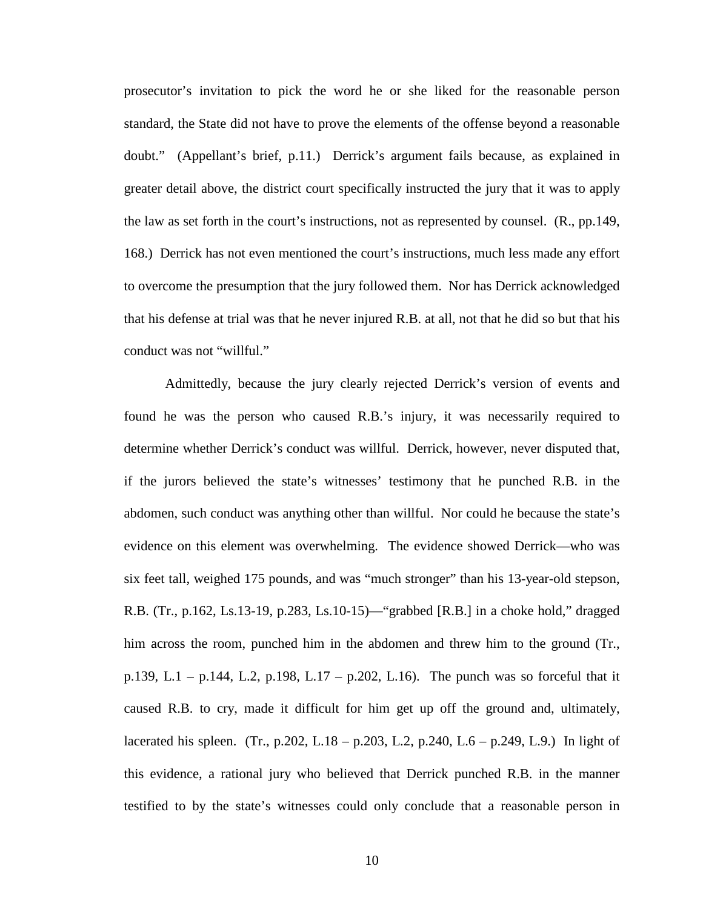prosecutor's invitation to pick the word he or she liked for the reasonable person standard, the State did not have to prove the elements of the offense beyond a reasonable doubt." (Appellant's brief, p.11.) Derrick's argument fails because, as explained in greater detail above, the district court specifically instructed the jury that it was to apply the law as set forth in the court's instructions, not as represented by counsel. (R., pp.149, 168.) Derrick has not even mentioned the court's instructions, much less made any effort to overcome the presumption that the jury followed them. Nor has Derrick acknowledged that his defense at trial was that he never injured R.B. at all, not that he did so but that his conduct was not "willful."

Admittedly, because the jury clearly rejected Derrick's version of events and found he was the person who caused R.B.'s injury, it was necessarily required to determine whether Derrick's conduct was willful. Derrick, however, never disputed that, if the jurors believed the state's witnesses' testimony that he punched R.B. in the abdomen, such conduct was anything other than willful. Nor could he because the state's evidence on this element was overwhelming. The evidence showed Derrick—who was six feet tall, weighed 175 pounds, and was "much stronger" than his 13-year-old stepson, R.B. (Tr., p.162, Ls.13-19, p.283, Ls.10-15)—"grabbed [R.B.] in a choke hold," dragged him across the room, punched him in the abdomen and threw him to the ground (Tr., p.139, L.1 – p.144, L.2, p.198, L.17 – p.202, L.16). The punch was so forceful that it caused R.B. to cry, made it difficult for him get up off the ground and, ultimately, lacerated his spleen. (Tr., p.202, L.18 – p.203, L.2, p.240, L.6 – p.249, L.9.) In light of this evidence, a rational jury who believed that Derrick punched R.B. in the manner testified to by the state's witnesses could only conclude that a reasonable person in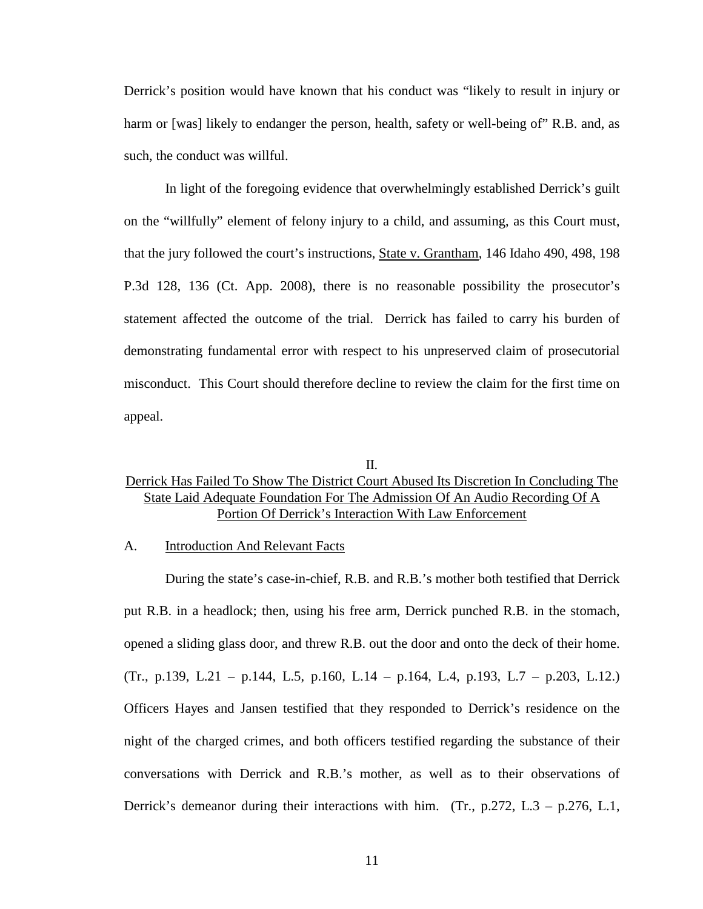Derrick's position would have known that his conduct was "likely to result in injury or harm or [was] likely to endanger the person, health, safety or well-being of" R.B. and, as such, the conduct was willful.

In light of the foregoing evidence that overwhelmingly established Derrick's guilt on the "willfully" element of felony injury to a child, and assuming, as this Court must, that the jury followed the court's instructions, State v. Grantham, 146 Idaho 490, 498, 198 P.3d 128, 136 (Ct. App. 2008), there is no reasonable possibility the prosecutor's statement affected the outcome of the trial. Derrick has failed to carry his burden of demonstrating fundamental error with respect to his unpreserved claim of prosecutorial misconduct. This Court should therefore decline to review the claim for the first time on appeal.

#### II.

## Derrick Has Failed To Show The District Court Abused Its Discretion In Concluding The State Laid Adequate Foundation For The Admission Of An Audio Recording Of A Portion Of Derrick's Interaction With Law Enforcement

#### A. Introduction And Relevant Facts

During the state's case-in-chief, R.B. and R.B.'s mother both testified that Derrick put R.B. in a headlock; then, using his free arm, Derrick punched R.B. in the stomach, opened a sliding glass door, and threw R.B. out the door and onto the deck of their home. (Tr., p.139, L.21 – p.144, L.5, p.160, L.14 – p.164, L.4, p.193, L.7 – p.203, L.12.) Officers Hayes and Jansen testified that they responded to Derrick's residence on the night of the charged crimes, and both officers testified regarding the substance of their conversations with Derrick and R.B.'s mother, as well as to their observations of Derrick's demeanor during their interactions with him. (Tr., p.272, L.3 – p.276, L.1,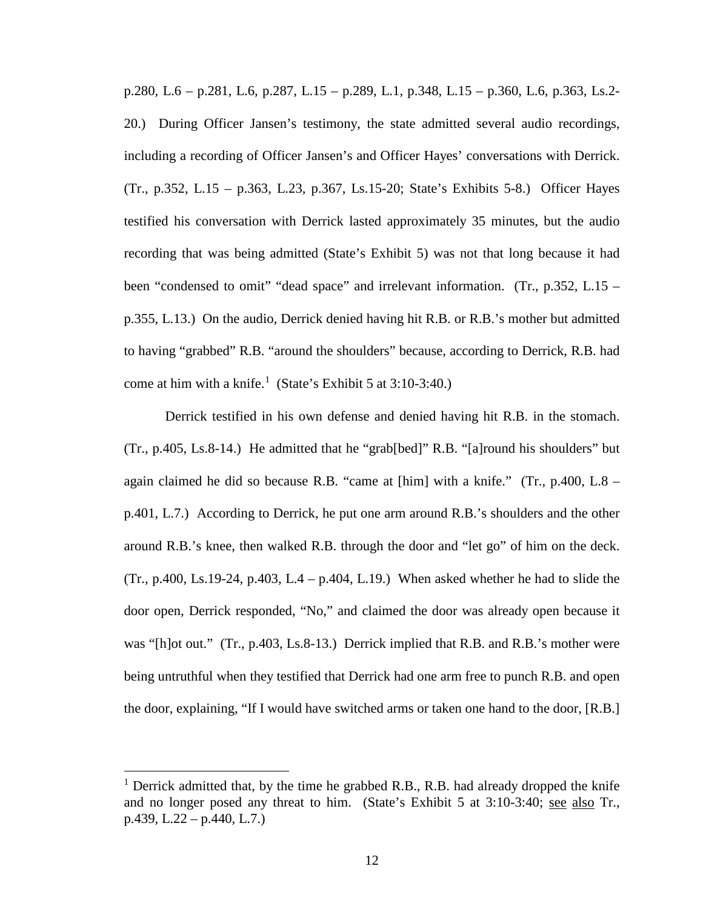p.280, L.6 – p.281, L.6, p.287, L.15 – p.289, L.1, p.348, L.15 – p.360, L.6, p.363, Ls.2- 20.) During Officer Jansen's testimony, the state admitted several audio recordings, including a recording of Officer Jansen's and Officer Hayes' conversations with Derrick. (Tr., p.352, L.15 – p.363, L.23, p.367, Ls.15-20; State's Exhibits 5-8.) Officer Hayes testified his conversation with Derrick lasted approximately 35 minutes, but the audio recording that was being admitted (State's Exhibit 5) was not that long because it had been "condensed to omit" "dead space" and irrelevant information. (Tr., p.352, L.15 – p.355, L.13.) On the audio, Derrick denied having hit R.B. or R.B.'s mother but admitted to having "grabbed" R.B. "around the shoulders" because, according to Derrick, R.B. had come at him with a knife.<sup>[1](#page-17-0)</sup> (State's Exhibit 5 at  $3:10-3:40$ .)

Derrick testified in his own defense and denied having hit R.B. in the stomach. (Tr., p.405, Ls.8-14.) He admitted that he "grab[bed]" R.B. "[a]round his shoulders" but again claimed he did so because R.B. "came at [him] with a knife." (Tr., p.400, L.8 – p.401, L.7.) According to Derrick, he put one arm around R.B.'s shoulders and the other around R.B.'s knee, then walked R.B. through the door and "let go" of him on the deck. (Tr., p.400, Ls.19-24, p.403, L.4 – p.404, L.19.) When asked whether he had to slide the door open, Derrick responded, "No," and claimed the door was already open because it was "[h]ot out." (Tr., p.403, Ls.8-13.) Derrick implied that R.B. and R.B.'s mother were being untruthful when they testified that Derrick had one arm free to punch R.B. and open the door, explaining, "If I would have switched arms or taken one hand to the door, [R.B.]

 $\overline{a}$ 

<span id="page-17-0"></span> $1$  Derrick admitted that, by the time he grabbed R.B., R.B. had already dropped the knife and no longer posed any threat to him. (State's Exhibit 5 at 3:10-3:40; see also Tr., p.439, L.22 – p.440, L.7.)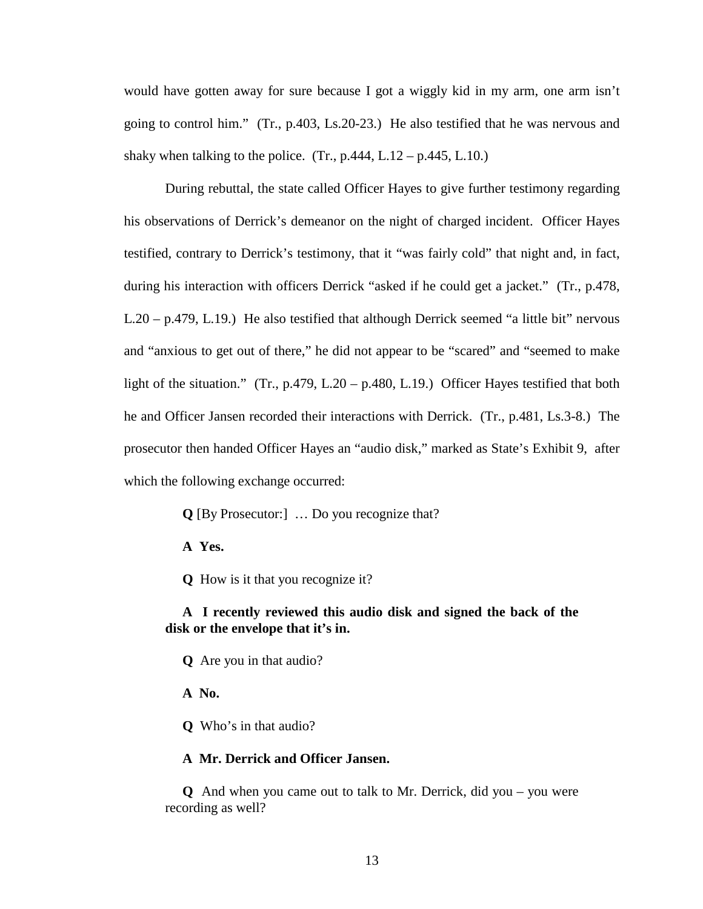would have gotten away for sure because I got a wiggly kid in my arm, one arm isn't going to control him." (Tr., p.403, Ls.20-23.) He also testified that he was nervous and shaky when talking to the police.  $(Tr, p.444, L.12 - p.445, L.10.)$ 

During rebuttal, the state called Officer Hayes to give further testimony regarding his observations of Derrick's demeanor on the night of charged incident. Officer Hayes testified, contrary to Derrick's testimony, that it "was fairly cold" that night and, in fact, during his interaction with officers Derrick "asked if he could get a jacket." (Tr., p.478, L.20 – p.479, L.19.) He also testified that although Derrick seemed "a little bit" nervous and "anxious to get out of there," he did not appear to be "scared" and "seemed to make light of the situation." (Tr., p.479, L.20 – p.480, L.19.) Officer Hayes testified that both he and Officer Jansen recorded their interactions with Derrick. (Tr., p.481, Ls.3-8.) The prosecutor then handed Officer Hayes an "audio disk," marked as State's Exhibit 9, after which the following exchange occurred:

 **Q** [By Prosecutor:] … Do you recognize that?

 **A Yes.**

 **Q** How is it that you recognize it?

## **A I recently reviewed this audio disk and signed the back of the disk or the envelope that it's in.**

 **Q** Are you in that audio?

 **A No.**

 **Q** Who's in that audio?

### **A Mr. Derrick and Officer Jansen.**

 **Q** And when you came out to talk to Mr. Derrick, did you – you were recording as well?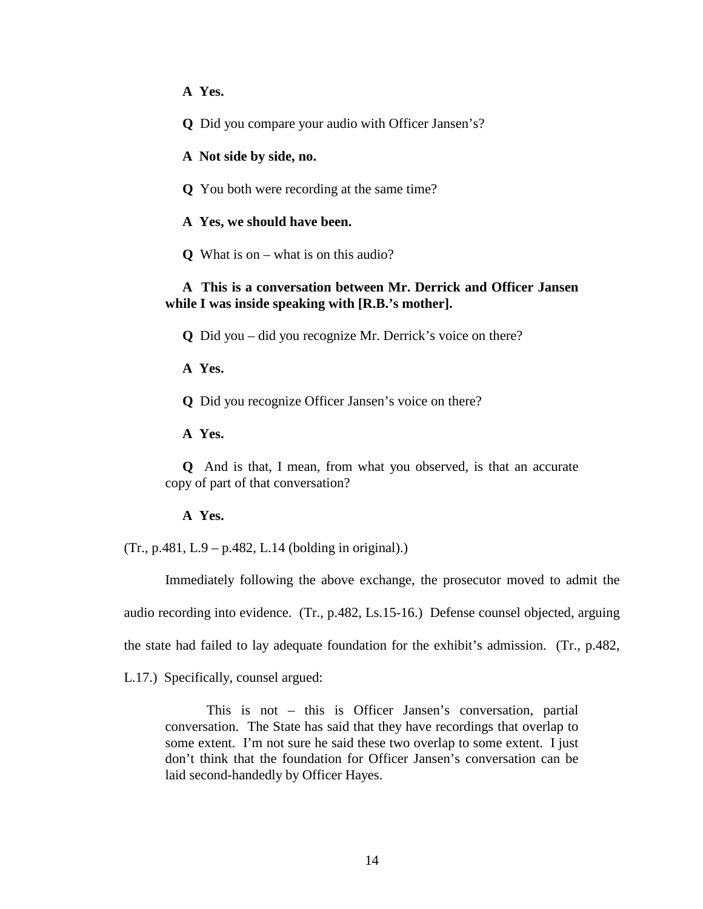**A Yes.**

 **Q** Did you compare your audio with Officer Jansen's?

 **A Not side by side, no.** 

 **Q** You both were recording at the same time?

 **A Yes, we should have been.**

 **Q** What is on – what is on this audio?

### **A This is a conversation between Mr. Derrick and Officer Jansen while I was inside speaking with [R.B.'s mother].**

 **Q** Did you – did you recognize Mr. Derrick's voice on there?

 **A Yes.**

 **Q** Did you recognize Officer Jansen's voice on there?

 **A Yes.**

 **Q** And is that, I mean, from what you observed, is that an accurate copy of part of that conversation?

 **A Yes.**

(Tr., p.481, L.9 – p.482, L.14 (bolding in original).)

Immediately following the above exchange, the prosecutor moved to admit the audio recording into evidence. (Tr., p.482, Ls.15-16.) Defense counsel objected, arguing the state had failed to lay adequate foundation for the exhibit's admission. (Tr., p.482,

L.17.) Specifically, counsel argued:

This is not – this is Officer Jansen's conversation, partial conversation. The State has said that they have recordings that overlap to some extent. I'm not sure he said these two overlap to some extent. I just don't think that the foundation for Officer Jansen's conversation can be laid second-handedly by Officer Hayes.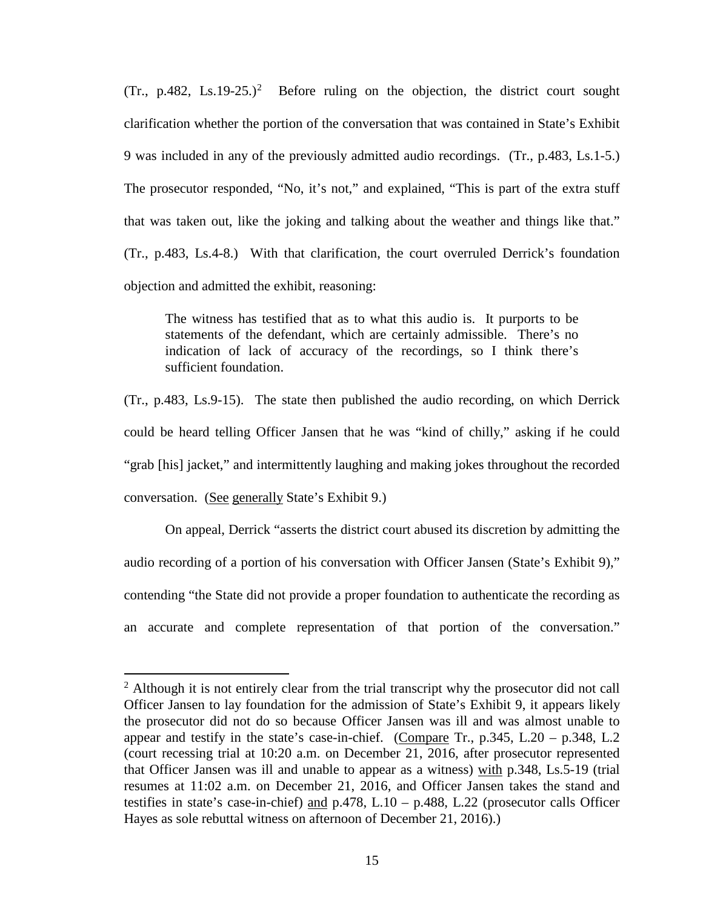(Tr., p.48[2](#page-20-0), Ls.19-25.)<sup>2</sup> Before ruling on the objection, the district court sought clarification whether the portion of the conversation that was contained in State's Exhibit 9 was included in any of the previously admitted audio recordings. (Tr., p.483, Ls.1-5.) The prosecutor responded, "No, it's not," and explained, "This is part of the extra stuff that was taken out, like the joking and talking about the weather and things like that." (Tr., p.483, Ls.4-8.) With that clarification, the court overruled Derrick's foundation objection and admitted the exhibit, reasoning:

The witness has testified that as to what this audio is. It purports to be statements of the defendant, which are certainly admissible. There's no indication of lack of accuracy of the recordings, so I think there's sufficient foundation.

(Tr., p.483, Ls.9-15). The state then published the audio recording, on which Derrick could be heard telling Officer Jansen that he was "kind of chilly," asking if he could "grab [his] jacket," and intermittently laughing and making jokes throughout the recorded conversation. (See generally State's Exhibit 9.)

On appeal, Derrick "asserts the district court abused its discretion by admitting the audio recording of a portion of his conversation with Officer Jansen (State's Exhibit 9)," contending "the State did not provide a proper foundation to authenticate the recording as an accurate and complete representation of that portion of the conversation."

 $\overline{a}$ 

<span id="page-20-0"></span> $2$  Although it is not entirely clear from the trial transcript why the prosecutor did not call Officer Jansen to lay foundation for the admission of State's Exhibit 9, it appears likely the prosecutor did not do so because Officer Jansen was ill and was almost unable to appear and testify in the state's case-in-chief. (Compare Tr.,  $p.345$ , L.20 –  $p.348$ , L.2 (court recessing trial at 10:20 a.m. on December 21, 2016, after prosecutor represented that Officer Jansen was ill and unable to appear as a witness) with p.348, Ls.5-19 (trial resumes at 11:02 a.m. on December 21, 2016, and Officer Jansen takes the stand and testifies in state's case-in-chief) and p.478, L.10 – p.488, L.22 (prosecutor calls Officer Hayes as sole rebuttal witness on afternoon of December 21, 2016).)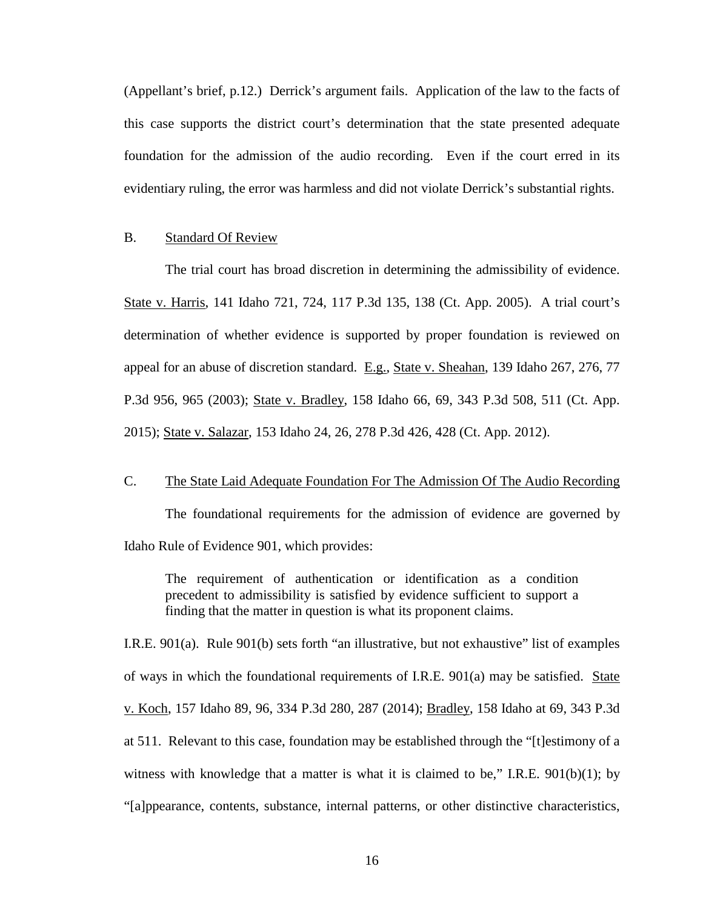(Appellant's brief, p.12.) Derrick's argument fails. Application of the law to the facts of this case supports the district court's determination that the state presented adequate foundation for the admission of the audio recording. Even if the court erred in its evidentiary ruling, the error was harmless and did not violate Derrick's substantial rights.

#### B. Standard Of Review

The trial court has broad discretion in determining the admissibility of evidence. State v. Harris, 141 Idaho 721, 724, 117 P.3d 135, 138 (Ct. App. 2005). A trial court's determination of whether evidence is supported by proper foundation is reviewed on appeal for an abuse of discretion standard. E.g., State v. Sheahan, 139 Idaho 267, 276, 77 P.3d 956, 965 (2003); State v. Bradley, 158 Idaho 66, 69, 343 P.3d 508, 511 (Ct. App. 2015); State v. Salazar, 153 Idaho 24, 26, 278 P.3d 426, 428 (Ct. App. 2012).

### C. The State Laid Adequate Foundation For The Admission Of The Audio Recording

The foundational requirements for the admission of evidence are governed by Idaho Rule of Evidence 901, which provides:

The requirement of authentication or identification as a condition precedent to admissibility is satisfied by evidence sufficient to support a finding that the matter in question is what its proponent claims.

I.R.E. 901(a). Rule 901(b) sets forth "an illustrative, but not exhaustive" list of examples of ways in which the foundational requirements of I.R.E. 901(a) may be satisfied. State v. Koch, 157 Idaho 89, 96, 334 P.3d 280, 287 (2014); Bradley, 158 Idaho at 69, 343 P.3d at 511. Relevant to this case, foundation may be established through the "[t]estimony of a witness with knowledge that a matter is what it is claimed to be," I.R.E.  $901(b)(1)$ ; by "[a]ppearance, contents, substance, internal patterns, or other distinctive characteristics,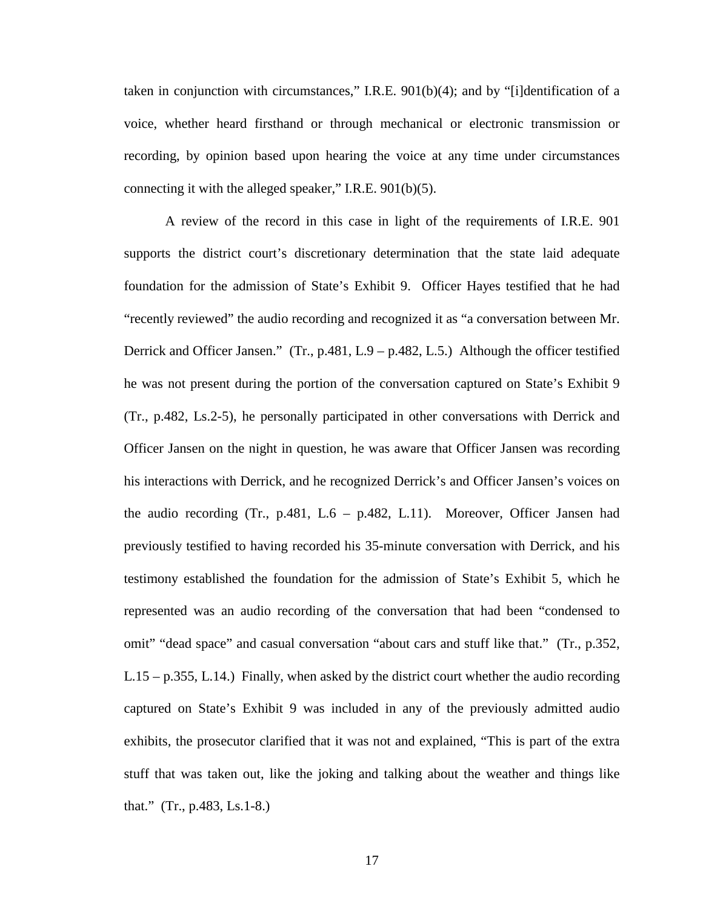taken in conjunction with circumstances," I.R.E. 901(b)(4); and by "[i]dentification of a voice, whether heard firsthand or through mechanical or electronic transmission or recording, by opinion based upon hearing the voice at any time under circumstances connecting it with the alleged speaker," I.R.E. 901(b)(5).

A review of the record in this case in light of the requirements of I.R.E. 901 supports the district court's discretionary determination that the state laid adequate foundation for the admission of State's Exhibit 9. Officer Hayes testified that he had "recently reviewed" the audio recording and recognized it as "a conversation between Mr. Derrick and Officer Jansen." (Tr., p.481, L.9 – p.482, L.5.) Although the officer testified he was not present during the portion of the conversation captured on State's Exhibit 9 (Tr., p.482, Ls.2-5), he personally participated in other conversations with Derrick and Officer Jansen on the night in question, he was aware that Officer Jansen was recording his interactions with Derrick, and he recognized Derrick's and Officer Jansen's voices on the audio recording (Tr., p.481, L.6 – p.482, L.11). Moreover, Officer Jansen had previously testified to having recorded his 35-minute conversation with Derrick, and his testimony established the foundation for the admission of State's Exhibit 5, which he represented was an audio recording of the conversation that had been "condensed to omit" "dead space" and casual conversation "about cars and stuff like that." (Tr., p.352, L.15 – p.355, L.14.) Finally, when asked by the district court whether the audio recording captured on State's Exhibit 9 was included in any of the previously admitted audio exhibits, the prosecutor clarified that it was not and explained, "This is part of the extra stuff that was taken out, like the joking and talking about the weather and things like that." (Tr., p.483, Ls.1-8.)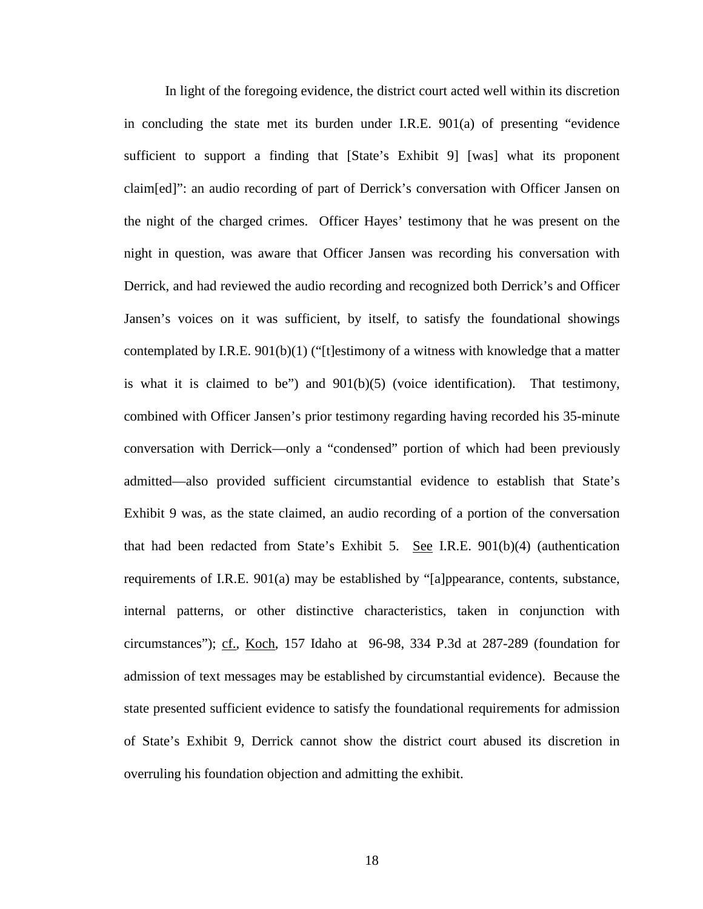In light of the foregoing evidence, the district court acted well within its discretion in concluding the state met its burden under I.R.E.  $901(a)$  of presenting "evidence" sufficient to support a finding that [State's Exhibit 9] [was] what its proponent claim[ed]": an audio recording of part of Derrick's conversation with Officer Jansen on the night of the charged crimes. Officer Hayes' testimony that he was present on the night in question, was aware that Officer Jansen was recording his conversation with Derrick, and had reviewed the audio recording and recognized both Derrick's and Officer Jansen's voices on it was sufficient, by itself, to satisfy the foundational showings contemplated by I.R.E. 901(b)(1) ("[t]estimony of a witness with knowledge that a matter is what it is claimed to be") and 901(b)(5) (voice identification). That testimony, combined with Officer Jansen's prior testimony regarding having recorded his 35-minute conversation with Derrick—only a "condensed" portion of which had been previously admitted—also provided sufficient circumstantial evidence to establish that State's Exhibit 9 was, as the state claimed, an audio recording of a portion of the conversation that had been redacted from State's Exhibit 5. See I.R.E. 901(b)(4) (authentication requirements of I.R.E. 901(a) may be established by "[a]ppearance, contents, substance, internal patterns, or other distinctive characteristics, taken in conjunction with circumstances"); cf., Koch, 157 Idaho at 96-98, 334 P.3d at 287-289 (foundation for admission of text messages may be established by circumstantial evidence). Because the state presented sufficient evidence to satisfy the foundational requirements for admission of State's Exhibit 9, Derrick cannot show the district court abused its discretion in overruling his foundation objection and admitting the exhibit.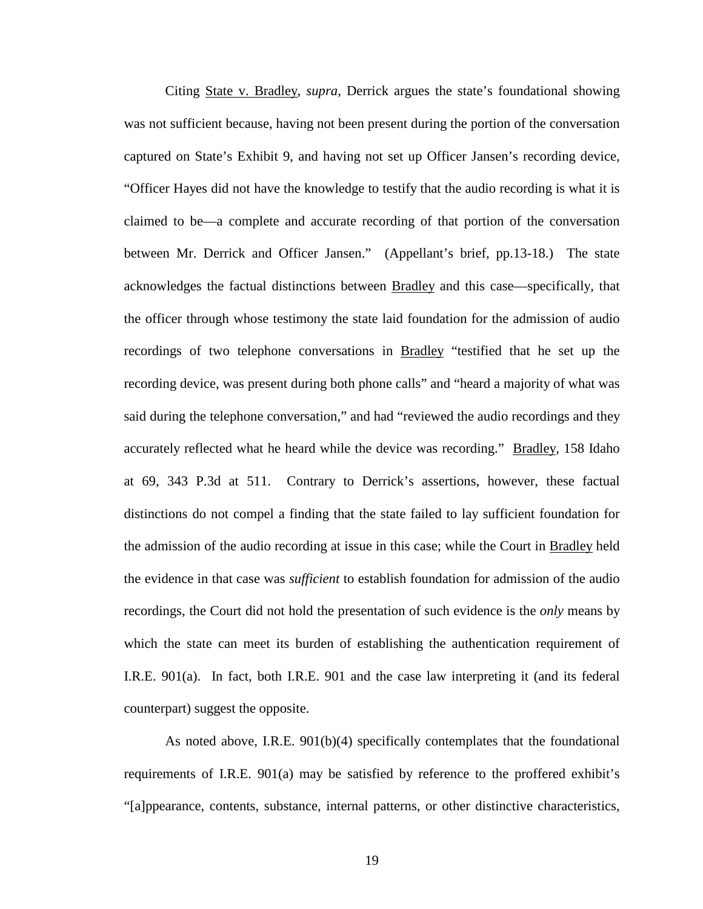Citing State v. Bradley, *supra*, Derrick argues the state's foundational showing was not sufficient because, having not been present during the portion of the conversation captured on State's Exhibit 9, and having not set up Officer Jansen's recording device, "Officer Hayes did not have the knowledge to testify that the audio recording is what it is claimed to be—a complete and accurate recording of that portion of the conversation between Mr. Derrick and Officer Jansen." (Appellant's brief, pp.13-18.) The state acknowledges the factual distinctions between Bradley and this case—specifically, that the officer through whose testimony the state laid foundation for the admission of audio recordings of two telephone conversations in Bradley "testified that he set up the recording device, was present during both phone calls" and "heard a majority of what was said during the telephone conversation," and had "reviewed the audio recordings and they accurately reflected what he heard while the device was recording." Bradley, 158 Idaho at 69, 343 P.3d at 511. Contrary to Derrick's assertions, however, these factual distinctions do not compel a finding that the state failed to lay sufficient foundation for the admission of the audio recording at issue in this case; while the Court in Bradley held the evidence in that case was *sufficient* to establish foundation for admission of the audio recordings, the Court did not hold the presentation of such evidence is the *only* means by which the state can meet its burden of establishing the authentication requirement of I.R.E. 901(a). In fact, both I.R.E. 901 and the case law interpreting it (and its federal counterpart) suggest the opposite.

As noted above, I.R.E. 901(b)(4) specifically contemplates that the foundational requirements of I.R.E. 901(a) may be satisfied by reference to the proffered exhibit's "[a]ppearance, contents, substance, internal patterns, or other distinctive characteristics,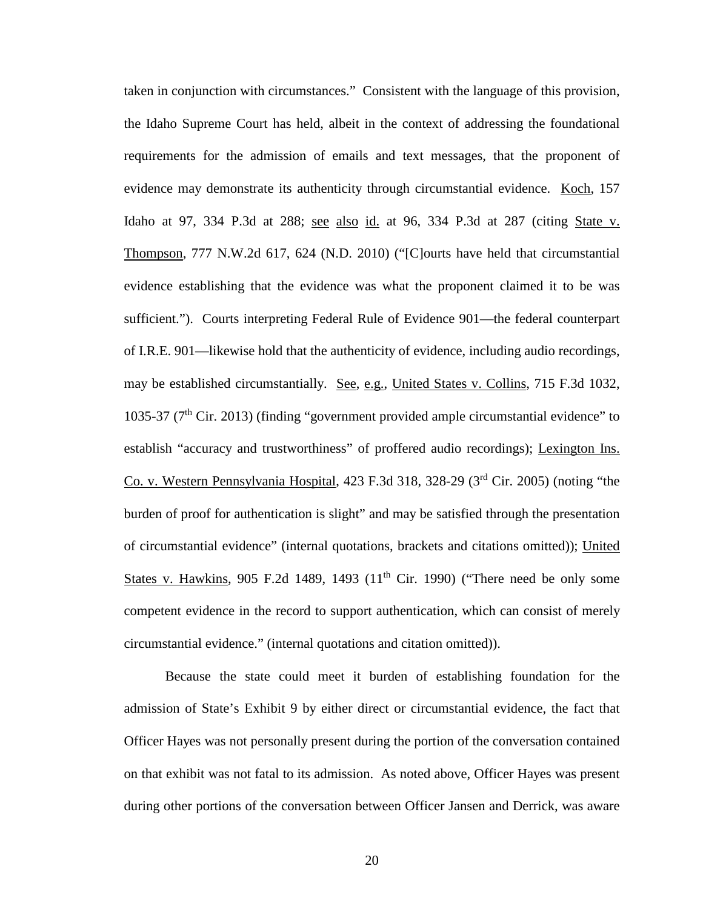taken in conjunction with circumstances." Consistent with the language of this provision, the Idaho Supreme Court has held, albeit in the context of addressing the foundational requirements for the admission of emails and text messages, that the proponent of evidence may demonstrate its authenticity through circumstantial evidence. Koch, 157 Idaho at 97, 334 P.3d at 288; see also id. at 96, 334 P.3d at 287 (citing State v. Thompson, 777 N.W.2d 617, 624 (N.D. 2010) ("[C]ourts have held that circumstantial evidence establishing that the evidence was what the proponent claimed it to be was sufficient."). Courts interpreting Federal Rule of Evidence 901—the federal counterpart of I.R.E. 901—likewise hold that the authenticity of evidence, including audio recordings, may be established circumstantially. See, e.g., United States v. Collins, 715 F.3d 1032, 1035-37 ( $7<sup>th</sup>$  Cir. 2013) (finding "government provided ample circumstantial evidence" to establish "accuracy and trustworthiness" of proffered audio recordings); Lexington Ins. Co. v. Western Pennsylvania Hospital, 423 F.3d 318, 328-29 (3rd Cir. 2005) (noting "the burden of proof for authentication is slight" and may be satisfied through the presentation of circumstantial evidence" (internal quotations, brackets and citations omitted)); United States v. Hawkins, 905 F.2d 1489, 1493  $(11<sup>th</sup>$  Cir. 1990) ("There need be only some competent evidence in the record to support authentication, which can consist of merely circumstantial evidence." (internal quotations and citation omitted)).

Because the state could meet it burden of establishing foundation for the admission of State's Exhibit 9 by either direct or circumstantial evidence, the fact that Officer Hayes was not personally present during the portion of the conversation contained on that exhibit was not fatal to its admission. As noted above, Officer Hayes was present during other portions of the conversation between Officer Jansen and Derrick, was aware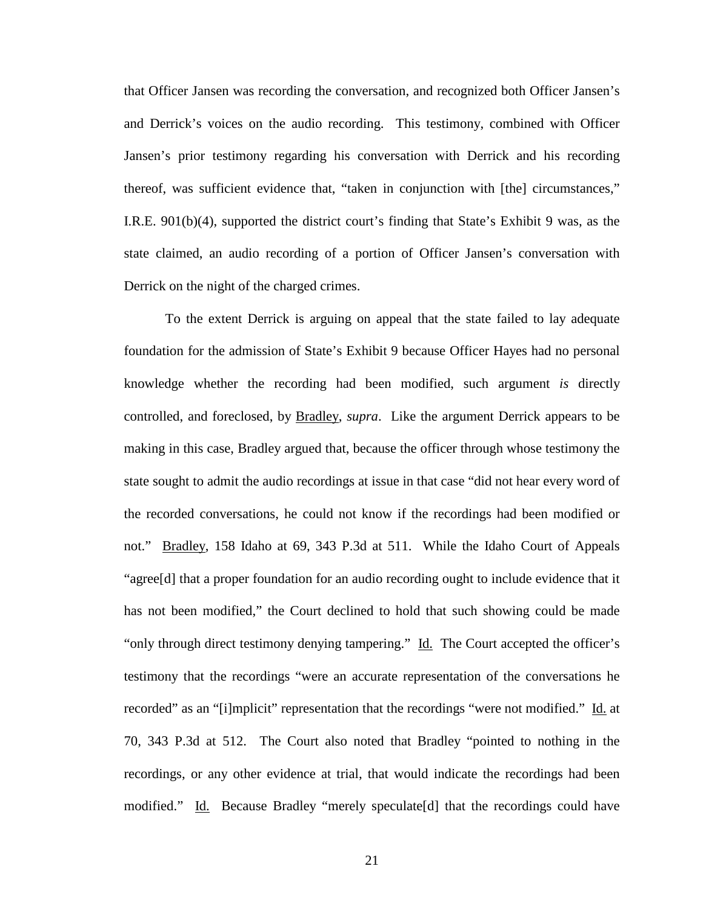that Officer Jansen was recording the conversation, and recognized both Officer Jansen's and Derrick's voices on the audio recording. This testimony, combined with Officer Jansen's prior testimony regarding his conversation with Derrick and his recording thereof, was sufficient evidence that, "taken in conjunction with [the] circumstances," I.R.E. 901(b)(4), supported the district court's finding that State's Exhibit 9 was, as the state claimed, an audio recording of a portion of Officer Jansen's conversation with Derrick on the night of the charged crimes.

To the extent Derrick is arguing on appeal that the state failed to lay adequate foundation for the admission of State's Exhibit 9 because Officer Hayes had no personal knowledge whether the recording had been modified, such argument *is* directly controlled, and foreclosed, by Bradley, *supra*. Like the argument Derrick appears to be making in this case, Bradley argued that, because the officer through whose testimony the state sought to admit the audio recordings at issue in that case "did not hear every word of the recorded conversations, he could not know if the recordings had been modified or not." Bradley, 158 Idaho at 69, 343 P.3d at 511. While the Idaho Court of Appeals "agree[d] that a proper foundation for an audio recording ought to include evidence that it has not been modified," the Court declined to hold that such showing could be made "only through direct testimony denying tampering." Id. The Court accepted the officer's testimony that the recordings "were an accurate representation of the conversations he recorded" as an "[i]mplicit" representation that the recordings "were not modified." Id. at 70, 343 P.3d at 512. The Court also noted that Bradley "pointed to nothing in the recordings, or any other evidence at trial, that would indicate the recordings had been modified." Id. Because Bradley "merely speculate [d] that the recordings could have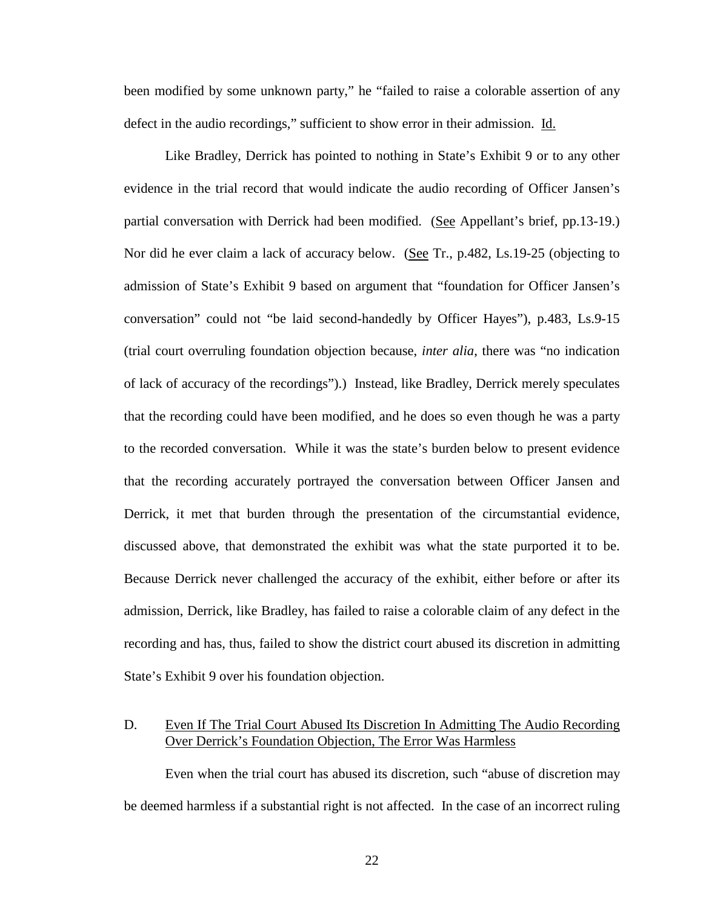been modified by some unknown party," he "failed to raise a colorable assertion of any defect in the audio recordings," sufficient to show error in their admission. Id.

Like Bradley, Derrick has pointed to nothing in State's Exhibit 9 or to any other evidence in the trial record that would indicate the audio recording of Officer Jansen's partial conversation with Derrick had been modified. (See Appellant's brief, pp.13-19.) Nor did he ever claim a lack of accuracy below. (See Tr., p.482, Ls.19-25 (objecting to admission of State's Exhibit 9 based on argument that "foundation for Officer Jansen's conversation" could not "be laid second-handedly by Officer Hayes"), p.483, Ls.9-15 (trial court overruling foundation objection because, *inter alia*, there was "no indication of lack of accuracy of the recordings").) Instead, like Bradley, Derrick merely speculates that the recording could have been modified, and he does so even though he was a party to the recorded conversation. While it was the state's burden below to present evidence that the recording accurately portrayed the conversation between Officer Jansen and Derrick, it met that burden through the presentation of the circumstantial evidence, discussed above, that demonstrated the exhibit was what the state purported it to be. Because Derrick never challenged the accuracy of the exhibit, either before or after its admission, Derrick, like Bradley, has failed to raise a colorable claim of any defect in the recording and has, thus, failed to show the district court abused its discretion in admitting State's Exhibit 9 over his foundation objection.

## D. Even If The Trial Court Abused Its Discretion In Admitting The Audio Recording Over Derrick's Foundation Objection, The Error Was Harmless

Even when the trial court has abused its discretion, such "abuse of discretion may be deemed harmless if a substantial right is not affected. In the case of an incorrect ruling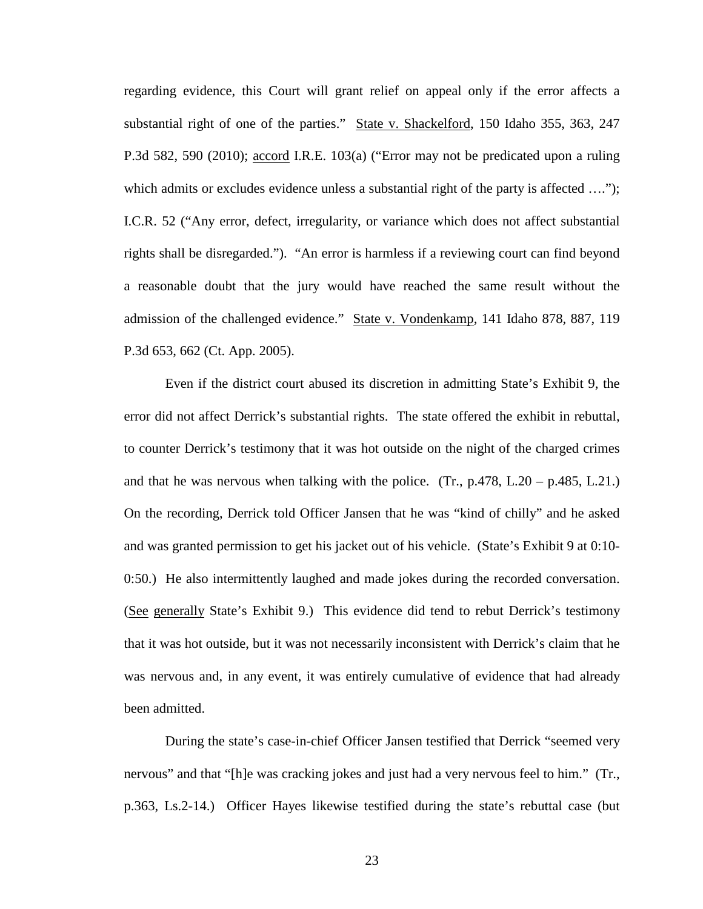regarding evidence, this Court will grant relief on appeal only if the error affects a substantial right of one of the parties." State v. Shackelford, 150 Idaho 355, 363, 247 P.3d 582, 590 (2010); accord I.R.E. 103(a) ("Error may not be predicated upon a ruling which admits or excludes evidence unless a substantial right of the party is affected ...."); I.C.R. 52 ("Any error, defect, irregularity, or variance which does not affect substantial rights shall be disregarded."). "An error is harmless if a reviewing court can find beyond a reasonable doubt that the jury would have reached the same result without the admission of the challenged evidence." State v. Vondenkamp, 141 Idaho 878, 887, 119 P.3d 653, 662 (Ct. App. 2005).

Even if the district court abused its discretion in admitting State's Exhibit 9, the error did not affect Derrick's substantial rights. The state offered the exhibit in rebuttal, to counter Derrick's testimony that it was hot outside on the night of the charged crimes and that he was nervous when talking with the police. (Tr.,  $p.478$ , L.20 –  $p.485$ , L.21.) On the recording, Derrick told Officer Jansen that he was "kind of chilly" and he asked and was granted permission to get his jacket out of his vehicle. (State's Exhibit 9 at 0:10- 0:50.) He also intermittently laughed and made jokes during the recorded conversation. (See generally State's Exhibit 9.) This evidence did tend to rebut Derrick's testimony that it was hot outside, but it was not necessarily inconsistent with Derrick's claim that he was nervous and, in any event, it was entirely cumulative of evidence that had already been admitted.

During the state's case-in-chief Officer Jansen testified that Derrick "seemed very nervous" and that "[h]e was cracking jokes and just had a very nervous feel to him." (Tr., p.363, Ls.2-14.) Officer Hayes likewise testified during the state's rebuttal case (but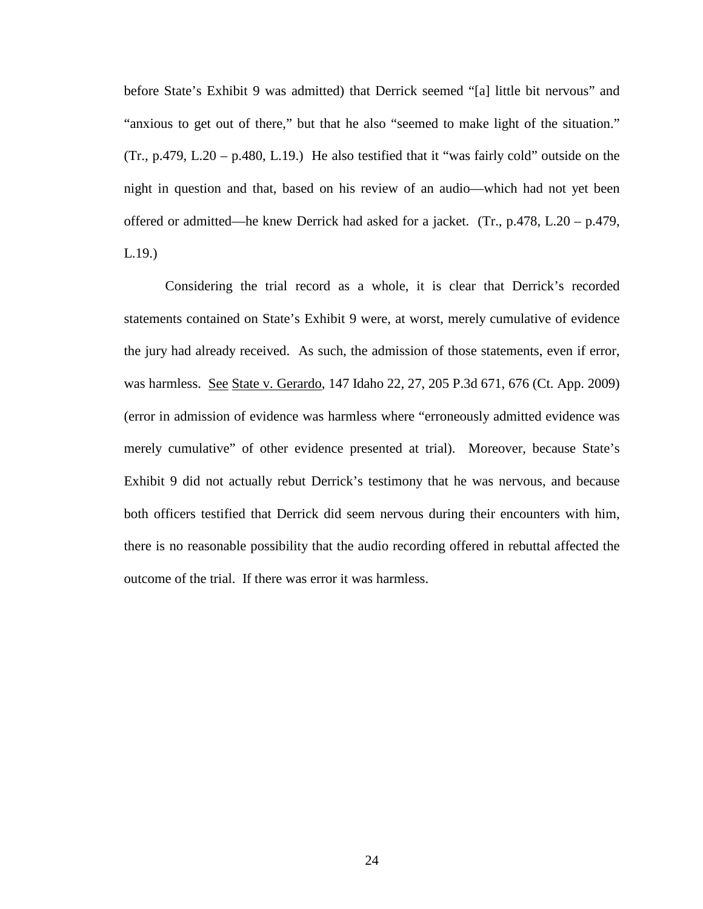before State's Exhibit 9 was admitted) that Derrick seemed "[a] little bit nervous" and "anxious to get out of there," but that he also "seemed to make light of the situation."  $(Tr., p.479, L.20 - p.480, L.19.)$  He also testified that it "was fairly cold" outside on the night in question and that, based on his review of an audio—which had not yet been offered or admitted—he knew Derrick had asked for a jacket. (Tr., p.478, L.20 – p.479, L.19.)

Considering the trial record as a whole, it is clear that Derrick's recorded statements contained on State's Exhibit 9 were, at worst, merely cumulative of evidence the jury had already received. As such, the admission of those statements, even if error, was harmless. See State v. Gerardo, 147 Idaho 22, 27, 205 P.3d 671, 676 (Ct. App. 2009) (error in admission of evidence was harmless where "erroneously admitted evidence was merely cumulative" of other evidence presented at trial). Moreover, because State's Exhibit 9 did not actually rebut Derrick's testimony that he was nervous, and because both officers testified that Derrick did seem nervous during their encounters with him, there is no reasonable possibility that the audio recording offered in rebuttal affected the outcome of the trial. If there was error it was harmless.